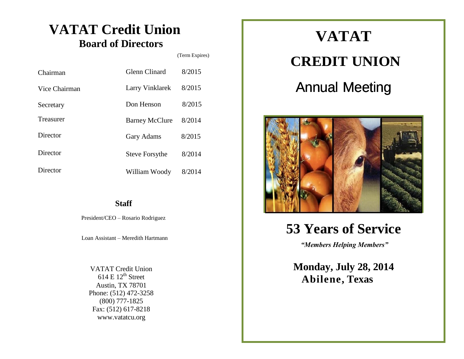### **VATAT Credit Union Board of Directors**

(Term Expires)

| Chairman      | <b>Glenn Clinard</b>  | 8/2015 |
|---------------|-----------------------|--------|
| Vice Chairman | Larry Vinklarek       | 8/2015 |
| Secretary     | Don Henson            | 8/2015 |
| Treasurer     | <b>Barney McClure</b> | 8/2014 |
| Director      | <b>Gary Adams</b>     | 8/2015 |
| Director      | <b>Steve Forsythe</b> | 8/2014 |
| Director      | William Woody         | 8/2014 |

### **Staff**

President/CEO – Rosario Rodriguez

Loan Assistant – Meredith Hartmann

VATAT Credit Union  $614 \text{ E } 12^{\text{th}}$  Street Austin, TX 78701 Phone: (512) 472-3258 (800) 777-1825 Fax: (512) 617-8218 [www.vatatcu.org](http://www.vatatcu.org/)

# **VATAT CREDIT UNION** Annual Meeting



### **53 Years of Service**

*"Members Helping Members"*

**Monday, July 28, 2014 Abilene, Texas**